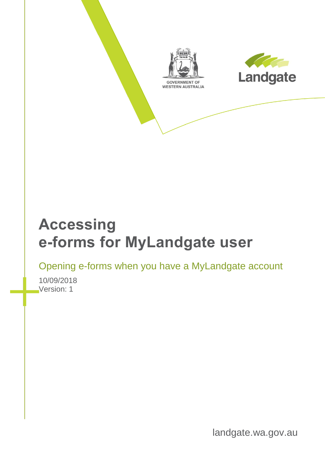



# **Accessing e-forms for MyLandgate user**

Opening e-forms when you have a MyLandgate account

10/09/2018 Version: 1

landgate.wa.gov.au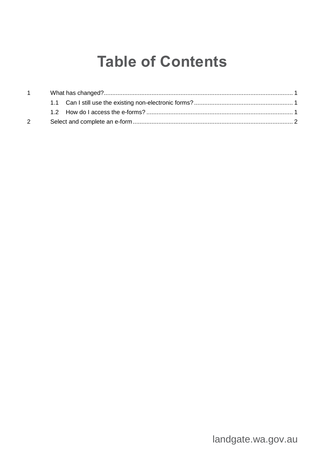# **Table of Contents**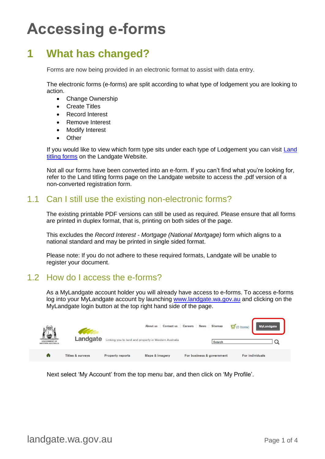# **Accessing e-forms**

## <span id="page-2-0"></span>**1 What has changed?**

Forms are now being provided in an electronic format to assist with data entry.

The electronic forms (e-forms) are split according to what type of lodgement you are looking to action.

- Change Ownership
- Create Titles
- Record Interest
- Remove Interest
- **Modify Interest**
- Other

If you would like to view which form type sits under each type of Lodgement you can visit [Land](https://www0.landgate.wa.gov.au/for-individuals/forms-and-fees/land-titling-forms)  [titling forms](https://www0.landgate.wa.gov.au/for-individuals/forms-and-fees/land-titling-forms) on the Landgate Website.

Not all our forms have been converted into an e-form. If you can't find what you're looking for, refer to the Land titling forms page on the Landgate website to access the .pdf version of a non-converted registration form.

### <span id="page-2-1"></span>1.1 Can I still use the existing non-electronic forms?

The existing printable PDF versions can still be used as required. Please ensure that all forms are printed in duplex format, that is, printing on both sides of the page.

This excludes the *Record Interest - Mortgage (National Mortgage)* form which aligns to a national standard and may be printed in single sided format.

Please note: If you do not adhere to these required formats, Landgate will be unable to register your document.

### <span id="page-2-2"></span>1.2 How do I access the e-forms?

As a MyLandgate account holder you will already have access to e-forms. To access e-forms log into your MyLandgate account by launching [www.landgate.wa.gov.au](http://www.landgate.wa.gov.au/) and clicking on the MyLandgate login button at the top right hand side of the page.

| 編<br><b>GOVERNMENT OF</b><br><b>WESTERN AUSTRALIA</b> | Landgate                    |                         | Contact us<br>About us<br>Linking you to land and property in Western Australia | <b>News</b><br>Careers    | Sitemap<br>Search | $\overline{u}(0 \text{ items})$ | <b>MyLandgate</b> |
|-------------------------------------------------------|-----------------------------|-------------------------|---------------------------------------------------------------------------------|---------------------------|-------------------|---------------------------------|-------------------|
| m                                                     | <b>Titles &amp; surveys</b> | <b>Property reports</b> | <b>Maps &amp; imagery</b>                                                       | For business & government |                   | For individuals                 |                   |

Next select 'My Account' from the top menu bar, and then click on 'My Profile'.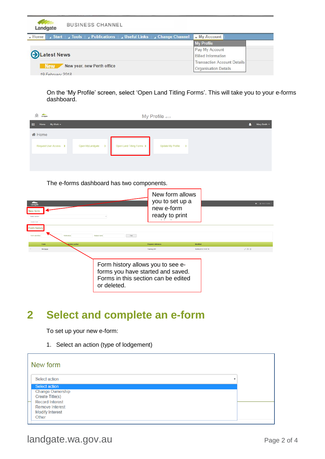| Landgate             | <b>BUSINESS CHANNEL</b>                                |                                    |
|----------------------|--------------------------------------------------------|------------------------------------|
| $-$ Home             | Start Jools Publications Juseful Links Jchange Channel | $\rightarrow$ My Account           |
|                      |                                                        | <b>My Profile</b>                  |
|                      |                                                        | Pay My Account                     |
| <b>D</b> Latest News |                                                        | <b>Billed Information</b>          |
|                      |                                                        | <b>Transaction Account Details</b> |
| <b>New</b>           | New year, new Perth office                             | <b>Organisation Details</b>        |
| 19 February 2018     |                                                        |                                    |

On the 'My Profile' screen, select 'Open Land Titling Forms'. This will take you to your e-forms dashboard.

| $\frac{1}{2}$ $\frac{1}{2}$ Lindgate |                                  |                           | My Profile vo.s.                   |  |  |   |              |
|--------------------------------------|----------------------------------|---------------------------|------------------------------------|--|--|---|--------------|
| My Work -<br>田<br>Home               |                                  |                           |                                    |  |  | Λ | Mary Smith * |
| <b>备 Home</b>                        |                                  |                           |                                    |  |  |   |              |
| Request User Access >                | Open MyLandgate<br>$\rightarrow$ | Open Land Titling Forms > | Update My Profile<br>$\rightarrow$ |  |  |   |              |
|                                      |                                  |                           |                                    |  |  |   |              |
|                                      |                                  |                           |                                    |  |  |   |              |

#### The e-forms dashboard has two components.

| Landqale<br>New form<br>Select action<br>Create Form |                                                                                                                              | New form allows<br>you to set up a<br>new e-form<br>ready to print |                                 | $\bigstar$   $\bigstar$ Hello Estelle |
|------------------------------------------------------|------------------------------------------------------------------------------------------------------------------------------|--------------------------------------------------------------------|---------------------------------|---------------------------------------|
| Form history<br>Reference<br>Form identifie          | Subject land<br>Find                                                                                                         |                                                                    |                                 |                                       |
| Form<br>Version author<br>Mortgage                   |                                                                                                                              | Preparer reference<br><b>Training DM</b>                           | Modified<br>19/06/2018 14:47:16 | 751                                   |
|                                                      | Form history allows you to see e-<br>forms you have started and saved.<br>Forms in this section can be edited<br>or deleted. |                                                                    |                                 |                                       |

### <span id="page-3-0"></span>**2 Select and complete an e-form**

To set up your new e-form:

1. Select an action (type of lodgement)

| New form                |   |
|-------------------------|---|
| Select action           | v |
| Select action           |   |
| <b>Change Ownership</b> |   |
| Create Title(s)         |   |
| <b>Record Interest</b>  |   |
| <b>Remove Interest</b>  |   |
| <b>Modify Interest</b>  |   |
| Other                   |   |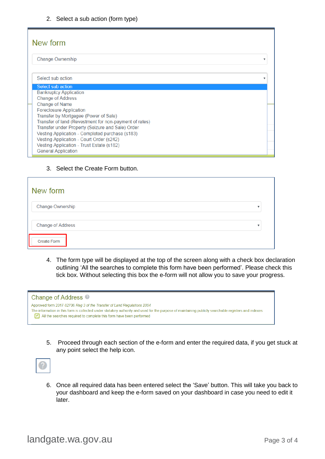| New form                                                                                                                                                   |  |
|------------------------------------------------------------------------------------------------------------------------------------------------------------|--|
| <b>Change Ownership</b>                                                                                                                                    |  |
| Select sub action                                                                                                                                          |  |
| Select sub action                                                                                                                                          |  |
| <b>Bankruptcy Application</b><br><b>Change of Address</b>                                                                                                  |  |
| <b>Change of Name</b><br><b>Foreclosure Application</b><br>Transfer by Mortgagee (Power of Sale)<br>Transfer of land (Revestment for non-payment of rates) |  |
| Transfer under Property (Seizure and Sale) Order<br>Vesting Application - Completed purchase (s183)<br>Vesting Application - Court Order (s242)            |  |
| Vesting Application - Trust Estate (s182)<br><b>General Application</b>                                                                                    |  |

#### 3. Select the Create Form button.

| New form          |  |
|-------------------|--|
| Change Ownership  |  |
| Change of Address |  |
| Create Form       |  |

4. The form type will be displayed at the top of the screen along with a check box declaration outlining 'All the searches to complete this form have been performed'. Please check this tick box. Without selecting this box the e-form will not allow you to save your progress.

| Change of Address <sup>@</sup>                                                                                                                                                                                                                                                                           |
|----------------------------------------------------------------------------------------------------------------------------------------------------------------------------------------------------------------------------------------------------------------------------------------------------------|
| Approved form 2017-82706 Reg 3 of the Transfer of Land Regulations 2004<br>The information in this form is collected under statutory authority and used for the purpose of maintaining publicly searchable registers and indexes.<br>All the searches required to complete this form have been performed |

5. Proceed through each section of the e-form and enter the required data, if you get stuck at any point select the help icon.



6. Once all required data has been entered select the 'Save' button. This will take you back to your dashboard and keep the e-form saved on your dashboard in case you need to edit it later.